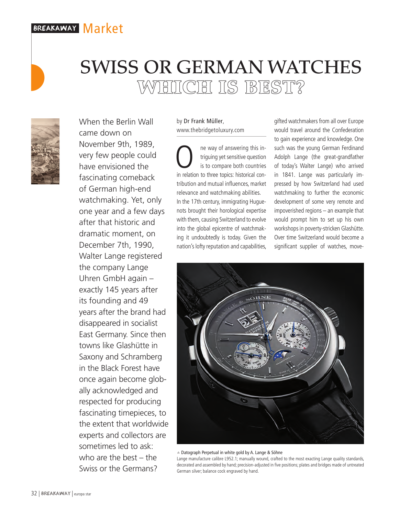# breakaway Market



When the Berlin Wall came down on November 9th, 1989, very few people could have envisioned the fascinating comeback of German high-end watchmaking. Yet, only one year and a few days after that historic and dramatic moment, on December 7th, 1990, Walter Lange registered the company Lange Uhren GmbH again – exactly 145 years after its founding and 49 years after the brand had disappeared in socialist East Germany. Since then towns like Glashütte in Saxony and Schramberg in the Black Forest have once again become globally acknowledged and respected for producing fascinating timepieces, to the extent that worldwide experts and collectors are sometimes led to ask: who are the best – the Swiss or the Germans?

by Dr Frank Müller, www.thebridgetoluxury.com

SWISS OR GERMAN WATCHES

WHICH IS BEST?

The way of answering this in-<br>triguing yet sensitive question<br>is to compare both countries<br>in relation to three topics: bistorical contriguing yet sensitive question is to compare both countries in relation to three topics: historical contribution and mutual influences, market relevance and watchmaking abilities. In the 17th century, immigrating Huguenots brought their horological expertise with them, causing Switzerland to evolve into the global epicentre of watchmaking it undoubtedly is today. Given the nation's lofty reputation and capabilities,

gifted watchmakers from all over Europe would travel around the Confederation to gain experience and knowledge. One such was the young German Ferdinand Adolph Lange (the great-grandfather of today's Walter Lange) who arrived in 1841. Lange was particularly impressed by how Switzerland had used watchmaking to further the economic development of some very remote and impoverished regions – an example that would prompt him to set up his own workshops in poverty-stricken Glashütte. Over time Switzerland would become a significant supplier of watches, move-



 $\triangle$  Datograph Perpetual in white gold by A. Lange & Söhne

Lange manufacture calibre L952.1; manually wound, crafted to the most exacting Lange quality standards, decorated and assembled by hand; precision-adjusted in five positions; plates and bridges made of untreated German silver; balance cock engraved by hand.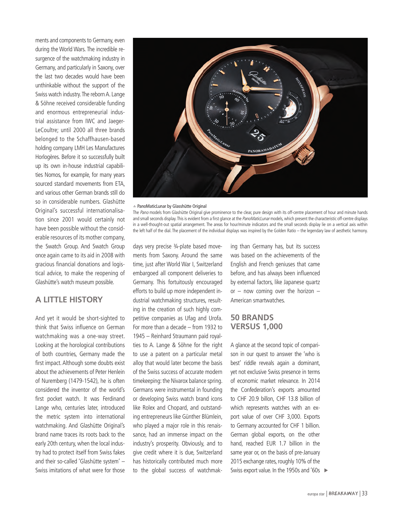ments and components to Germany, even during the World Wars. The incredible resurgence of the watchmaking industry in Germany, and particularly in Saxony, over the last two decades would have been unthinkable without the support of the Swiss watch industry. The reborn A. Lange & Söhne received considerable funding and enormous entrepreneurial industrial assistance from IWC and Jaeger-LeCoultre; until 2000 all three brands belonged to the Schaffhausen-based holding company LMH Les Manufactures Horlogères. Before it so successfully built up its own in-house industrial capabilities Nomos, for example, for many years sourced standard movements from ETA, and various other German brands still do so in considerable numbers. Glashütte Original's successful internationalisation since 2001 would certainly not have been possible without the considerable resources of its mother company, the Swatch Group. And Swatch Group once again came to its aid in 2008 with gracious financial donations and logistical advice, to make the reopening of Glashütte's watch museum possible.

## **A LITTLE HISTORY**

And yet it would be short-sighted to think that Swiss influence on German watchmaking was a one-way street. Looking at the horological contributions of both countries, Germany made the first impact. Although some doubts exist about the achievements of Peter Henlein of Nuremberg (1479-1542), he is often considered the inventor of the world's first pocket watch. It was Ferdinand Lange who, centuries later, introduced the metric system into international watchmaking. And Glashütte Original's brand name traces its roots back to the early 20th century, when the local industry had to protect itself from Swiss fakes and their so-called 'Glashütte system' – Swiss imitations of what were for those



#### $\triangle$  PanoMaticLunar by Glasshütte Original

The Pano models from Glashütte Original give prominence to the clear, pure design with its off-centre placement of hour and minute hands and small seconds display. This is evident from a first glance at the PanoMaticLunar models, which present the characteristic off-centre displays in a well-thought-out spatial arrangement. The areas for hour/minute indicators and the small seconds display lie on a vertical axis within the left half of the dial. The placement of the individual displays was inspired by the Golden Ratio – the legendary law of aesthetic harmony.

days very precise 3/4-plate based movements from Saxony. Around the same time, just after World War I, Switzerland embargoed all component deliveries to Germany. This fortuitously encouraged efforts to build up more independent industrial watchmaking structures, resulting in the creation of such highly competitive companies as Ufag and Urofa. For more than a decade – from 1932 to 1945 – Reinhard Straumann paid royalties to A. Lange & Söhne for the right to use a patent on a particular metal alloy that would later become the basis of the Swiss success of accurate modern timekeeping: the Nivarox balance spring. Germans were instrumental in founding or developing Swiss watch brand icons like Rolex and Chopard, and outstanding entrepreneurs like Günther Blümlein, who played a major role in this renaissance, had an immense impact on the industry's prosperity. Obviously, and to give credit where it is due, Switzerland has historically contributed much more to the global success of watchmaking than Germany has, but its success was based on the achievements of the English and French geniuses that came before, and has always been influenced by external factors, like Japanese quartz or – now coming over the horizon – American smartwatches.

## **50 BRANDS VERSUS 1,000**

A glance at the second topic of comparison in our quest to answer the 'who is best' riddle reveals again a dominant, yet not exclusive Swiss presence in terms of economic market relevance. In 2014 the Confederation's exports amounted to CHF 20.9 billon, CHF 13.8 billion of which represents watches with an export value of over CHF 3,000. Exports to Germany accounted for CHF 1 billion. German global exports, on the other hand, reached EUR 1.7 billion in the same year or, on the basis of pre-January 2015 exchange rates, roughly 10% of the Swiss export value. In the 1950s and '60s